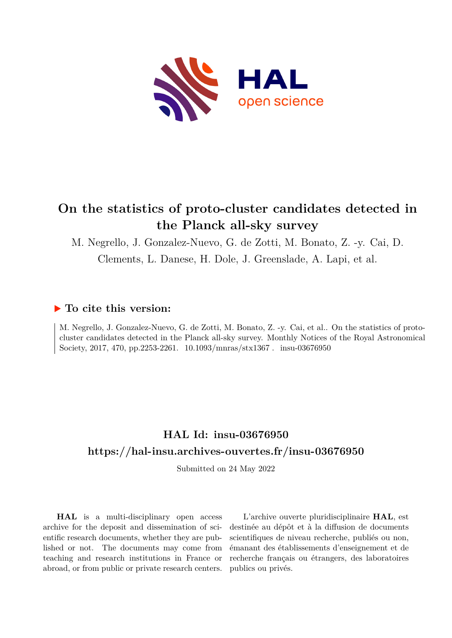

## **On the statistics of proto-cluster candidates detected in the Planck all-sky survey**

M. Negrello, J. Gonzalez-Nuevo, G. de Zotti, M. Bonato, Z. -y. Cai, D.

Clements, L. Danese, H. Dole, J. Greenslade, A. Lapi, et al.

### **To cite this version:**

M. Negrello, J. Gonzalez-Nuevo, G. de Zotti, M. Bonato, Z. -y. Cai, et al.. On the statistics of protocluster candidates detected in the Planck all-sky survey. Monthly Notices of the Royal Astronomical Society, 2017, 470, pp.2253-2261. 10.1093/mnras/stx1367. insu-03676950

## **HAL Id: insu-03676950 <https://hal-insu.archives-ouvertes.fr/insu-03676950>**

Submitted on 24 May 2022

**HAL** is a multi-disciplinary open access archive for the deposit and dissemination of scientific research documents, whether they are published or not. The documents may come from teaching and research institutions in France or abroad, or from public or private research centers.

L'archive ouverte pluridisciplinaire **HAL**, est destinée au dépôt et à la diffusion de documents scientifiques de niveau recherche, publiés ou non, émanant des établissements d'enseignement et de recherche français ou étrangers, des laboratoires publics ou privés.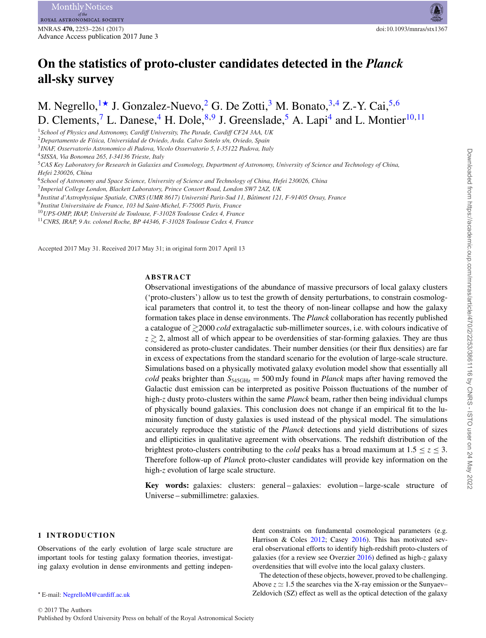# **On the statistics of proto-cluster candidates detected in the** *Planck* **all-sky survey**

M. Negrello,<sup>1\*</sup> J. Gonzalez-Nuevo,<sup>2</sup> G. De Zotti,<sup>3</sup> M. Bonato,<sup>3,4</sup> Z.-Y. Cai,<sup>5,6</sup> D. Clements,<sup>7</sup> L. Danese,<sup>4</sup> H. Dole,<sup>8,9</sup> J. Greenslade,<sup>5</sup> A. Lapi<sup>4</sup> and L. Montier<sup>10,11</sup>

<sup>1</sup>*School of Physics and Astronomy, Cardiff University, The Parade, Cardiff CF24 3AA, UK*

<sup>2</sup>*Departamento de F´ısica, Universidad de Oviedo, Avda. Calvo Sotelo s/n, Oviedo, Spain*

<sup>3</sup>*INAF, Osservatorio Astronomico di Padova, Vicolo Osservatorio 5, I-35122 Padova, Italy*

<sup>4</sup>*SISSA, Via Bonomea 265, I-34136 Trieste, Italy*

<sup>5</sup>*CAS Key Laboratory for Research in Galaxies and Cosmology, Department of Astronomy, University of Science and Technology of China, Hefei 230026, China*

<sup>6</sup>*School of Astronomy and Space Science, University of Science and Technology of China, Hefei 230026, China*

<sup>7</sup>*Imperial College London, Blackett Laboratory, Prince Consort Road, London SW7 2AZ, UK*

<sup>8</sup>*Institut d'Astrophysique Spatiale, CNRS (UMR 8617) Universite Paris-Sud 11, B ´ atiment 121, F-91405 Orsay, France ˆ*

<sup>9</sup>*Institut Universitaire de France, 103 bd Saint-Michel, F-75005 Paris, France*

<sup>10</sup>*UPS-OMP, IRAP, Universite de Toulouse, F-31028 Toulouse Cedex 4, France ´*

<sup>11</sup>*CNRS, IRAP, 9 Av. colonel Roche, BP 44346, F-31028 Toulouse Cedex 4, France*

Accepted 2017 May 31. Received 2017 May 31; in original form 2017 April 13

#### **ABSTRACT**

Observational investigations of the abundance of massive precursors of local galaxy clusters ('proto-clusters') allow us to test the growth of density perturbations, to constrain cosmological parameters that control it, to test the theory of non-linear collapse and how the galaxy formation takes place in dense environments. The *Planck* collaboration has recently published a catalogue of  $\gtrsim$ 2000 *cold* extragalactic sub-millimeter sources, i.e. with colours indicative of  $z \gtrsim 2$ , almost all of which appear to be overdensities of star-forming galaxies. They are thus considered as proto-cluster candidates. Their number densities (or their flux densities) are far in excess of expectations from the standard scenario for the evolution of large-scale structure. Simulations based on a physically motivated galaxy evolution model show that essentially all *cold* peaks brighter than  $S_{\rm 545GHz} = 500$  mJy found in *Planck* maps after having removed the Galactic dust emission can be interpreted as positive Poisson fluctuations of the number of high-*z* dusty proto-clusters within the same *Planck* beam, rather then being individual clumps of physically bound galaxies. This conclusion does not change if an empirical fit to the luminosity function of dusty galaxies is used instead of the physical model. The simulations accurately reproduce the statistic of the *Planck* detections and yield distributions of sizes and ellipticities in qualitative agreement with observations. The redshift distribution of the brightest proto-clusters contributing to the *cold* peaks has a broad maximum at  $1.5 \le z \le 3$ . Therefore follow-up of *Planck* proto-cluster candidates will provide key information on the high-*z* evolution of large scale structure.

**Key words:** galaxies: clusters: general – galaxies: evolution – large-scale structure of Universe – submillimetre: galaxies.

#### **1 INTRODUCTION**

Observations of the early evolution of large scale structure are important tools for testing galaxy formation theories, investigating galaxy evolution in dense environments and getting independent constraints on fundamental cosmological parameters (e.g. Harrison & Coles 2012; Casey 2016). This has motivated several observational efforts to identify high-redshift proto-clusters of galaxies (for a review see Overzier 2016) defined as high-*z* galaxy overdensities that will evolve into the local galaxy clusters.

The detection of these objects, however, proved to be challenging. Above  $z \approx 1.5$  the searches via the X-ray emission or the Sunyaev– Zeldovich (SZ) effect as well as the optical detection of the galaxy

<sup>-</sup> E-mail: [NegrelloM@cardiff.ac.uk](mailto:NegrelloM@cardiff.ac.uk)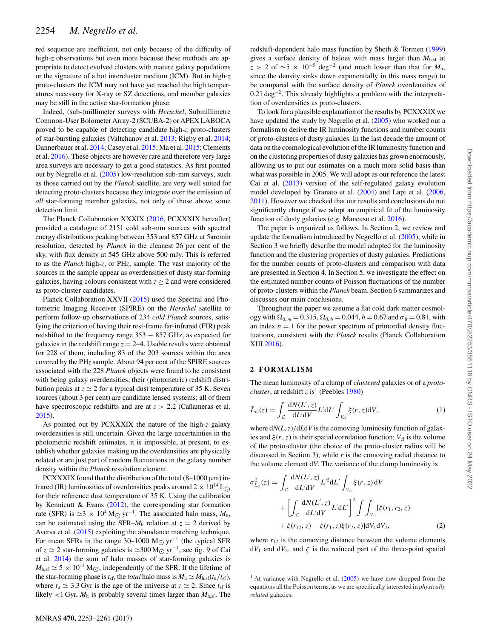red sequence are inefficient, not only because of the difficulty of high-*z* observations but even more because these methods are appropriate to detect evolved clusters with mature galaxy populations or the signature of a hot intercluster medium (ICM). But in high-*z* proto-clusters the ICM may not have yet reached the high temperatures necessary for X-ray or SZ detections, and member galaxies may be still in the active star-formation phase.

Indeed, (sub-)millimeter surveys with *Herschel*, Submillimetre Common-User Bolometer Array-2 (SCUBA-2) or APEX LABOCA proved to be capable of detecting candidate high-*z* proto-clusters of star-bursting galaxies (Valtchanov et al. 2013; Rigby et al. 2014; Dannerbauer et al. 2014; Casey et al. 2015; Ma et al. 2015; Clements et al. 2016). These objects are however rare and therefore very large area surveys are necessary to get a good statistics. As first pointed out by Negrello et al. (2005) low-resolution sub-mm surveys, such as those carried out by the *Planck* satellite, are very well suited for detecting proto-clusters because they integrate over the emission of *all* star-forming member galaxies, not only of those above some detection limit.

The Planck Collaboration XXXIX (2016, PCXXXIX hereafter) provided a catalogue of 2151 cold sub-mm sources with spectral energy distributions peaking between 353 and 857 GHz at 5arcmin resolution, detected by *Planck* in the cleanest 26 per cent of the sky, with flux density at 545 GHz above 500 mJy. This is referred to as the *Planck* high-*z*, or PH*z*, sample. The vast majority of the sources in the sample appear as overdensities of dusty star-forming galaxies, having colours consistent with  $z \geq 2$  and were considered as proto-cluster candidates.

Planck Collaboration XXVII (2015) used the Spectral and Photometric Imaging Receiver (SPIRE) on the *Herschel* satellite to perform follow-up observations of 234 *cold Planck* sources, satisfying the criterion of having their rest-frame far-infrared (FIR) peak redshifted to the frequency range 353 − 857 GHz, as expected for galaxies in the redshift range  $z = 2-4$ . Usable results were obtained for 228 of them, including 83 of the 203 sources within the area covered by the PH*z* sample. About 94 per cent of the SPIRE sources associated with the 228 *Planck* objects were found to be consistent with being galaxy overdensities; their (photometric) redshift distribution peaks at  $z \approx 2$  for a typical dust temperature of 35 K. Seven sources (about 3 per cent) are candidate lensed systems; all of them have spectroscopic redshifts and are at  $z > 2.2$  (Canameras et al. 2015).

As pointed out by PCXXXIX the nature of the high-*z* galaxy overdensities is still uncertain. Given the large uncertainties in the photometric redshift estimates, it is impossible, at present, to establish whether galaxies making up the overdensities are physically related or are just part of random fluctuations in the galaxy number density within the *Planck* resolution element.

PCXXXIX found that the distribution of the total  $(8-1000 \,\mu m)$  infrared (IR) luminosities of overdensities peaks around  $2 \times 10^{14}$  L<sub>O</sub> for their reference dust temperature of 35 K. Using the calibration by Kennicutt & Evans (2012), the corresponding star formation rate (SFR) is  $\approx$  3 × 10<sup>4</sup> M<sub>☉</sub> yr<sup>-1</sup>. The associated halo mass,  $M_h$ , can be estimated using the SFR– $M<sub>h</sub>$  relation at  $z = 2$  derived by Aversa et al. (2015) exploiting the abundance matching technique. For mean SFRs in the range 30–1000 M<sub>☉</sub>  $yr^{-1}$  (the typical SFR of *z*  $\simeq$  2 star-forming galaxies is  $\simeq$ 300 M<sub>⊙</sub> yr<sup>-1</sup>, see fig. 9 of Cai et al. 2014) the sum of halo masses of star-forming galaxies is  $M_{h,sf} \simeq 5 \times 10^{14} M_{\odot}$ , independently of the SFR. If the lifetime of the star-forming phase is  $t_{sf}$ , the *total* halo mass is  $M_h \simeq M_{h,sf}(t_u/t_{sf})$ , where  $t_u \approx 3.3$  Gyr is the age of the universe at  $z \approx 2$ . Since  $t_{sf}$  is likely  $<$ 1 Gyr,  $M<sub>h</sub>$  is probably several times larger than  $M<sub>h,sf</sub>$ . The

redshift-dependent halo mass function by Sheth & Tormen (1999) gives a surface density of haloes with mass larger than  $M_{h,sf}$  at *z* > 2 of  $\sim$ 5 × 10<sup>-5</sup> deg<sup>-2</sup> (and much lower than that for *M*<sub>h</sub>, since the density sinks down exponentially in this mass range) to be compared with the surface density of *Planck* overdensities of 0.21 deg−2. This already highlights a problem with the interpretation of overdensities as proto-clusters.

To look for a plausible explanation of the results by PCXXXIX we have updated the study by Negrello et al. (2005) who worked out a formalism to derive the IR luminosity functions and number counts of proto-clusters of dusty galaxies. In the last decade the amount of data on the cosmological evolution of the IR luminosity function and on the clustering properties of dusty galaxies has grown enormously, allowing us to put our estimates on a much more solid basis than what was possible in 2005. We will adopt as our reference the latest Cai et al. (2013) version of the self-regulated galaxy evolution model developed by Granato et al. (2004) and Lapi et al. (2006, 2011). However we checked that our results and conclusions do not significantly change if we adopt an empirical fit of the luminosity function of dusty galaxies (e.g. Mancuso et al. 2016).

The paper is organized as follows. In Section 2, we review and update the formalism introduced by Negrello et al. (2005), while in Section 3 we briefly describe the model adopted for the luminosity function and the clustering properties of dusty galaxies. Predictions for the number counts of proto-clusters and comparison with data are presented in Section 4. In Section 5, we investigate the effect on the estimated number counts of Poisson fluctuations of the number of proto-clusters within the *Planck* beam. Section 6 summarizes and discusses our main conclusions.

Throughout the paper we assume a flat cold dark matter cosmology with  $\Omega_{0, m} = 0.315$ ,  $\Omega_{0, b} = 0.044$ ,  $h = 0.67$  and  $\sigma_8 = 0.81$ , with an index  $n = 1$  for the power spectrum of primordial density fluctuations, consistent with the *Planck* results (Planck Collaboration XIII 2016).

#### **2 FORMALISM**

The mean luminosity of a clump of *clustered* galaxies or of a *protocluster*, at redshift  $z$  is<sup>1</sup> (Peebles 1980)

$$
\bar{L}_{cl}(z) = \int_{\mathcal{L}} \frac{dN(L', z)}{dL'dV} L'dL' \int_{V_{cl}} \xi(r, z)dV, \tag{1}
$$

where  $dN(L, z)/dL dV$  is the comoving luminosity function of galaxies and  $\xi(r, z)$  is their spatial correlation function;  $V_{\text{cl}}$  is the volume of the proto-cluster (the choice of the proto-cluster radius will be discussed in Section 3), while *r* is the comoving radial distance to the volume element d*V*. The variance of the clump luminosity is

$$
\sigma_{L_{\text{cl}}}^2(z) = \int_{\mathcal{L}} \frac{dN(L', z)}{dL'dV} L'^2 dL' \int_{V_{\text{cl}}} \xi(r, z) dV \n+ \left[ \int_{\mathcal{L}} \frac{dN(L', z)}{dL'dV} L' dL' \right]^2 \int \int_{V_{\text{cl}}} [\zeta(r_1, r_2, z) \n+ \xi(r_{12}, z) - \xi(r_1, z) \xi(r_2, z)] dV_1 dV_2,
$$
\n(2)

where  $r_{12}$  is the comoving distance between the volume elements  $dV_1$  and  $dV_2$ , and  $\zeta$  is the reduced part of the three-point spatial

<sup>&</sup>lt;sup>1</sup> At variance with Negrello et al.  $(2005)$  we have now dropped from the equations all the Poisson terms, as we are specifically interested in *physically related* galaxies.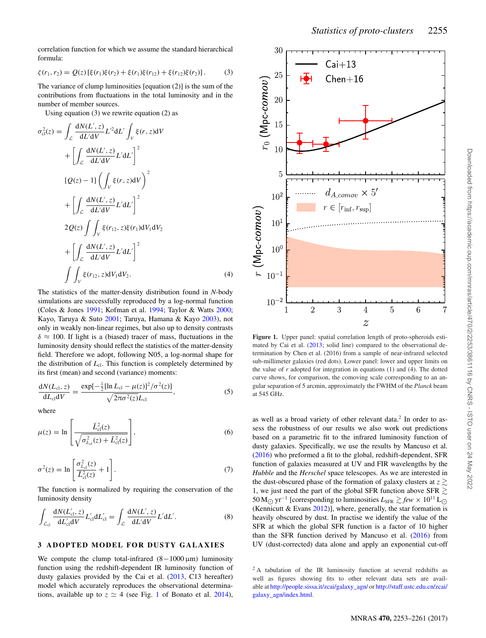correlation function for which we assume the standard hierarchical formula:

$$
\zeta(r_1, r_2) = Q(z) \left[ \xi(r_1) \xi(r_2) + \xi(r_1) \xi(r_{12}) + \xi(r_{12}) \xi(r_2) \right]. \tag{3}
$$

The variance of clump luminosities [equation (2)] is the sum of the contributions from fluctuations in the total luminosity and in the number of member sources.

Using equation (3) we rewrite equation (2) as

$$
L_{cl}(z) = \int_{\mathcal{L}} \frac{dN(L', z)}{dL'dV} L'^2 dL' \int_{V} \xi(r, z) dV
$$
  
+ 
$$
\left[ \int_{\mathcal{L}} \frac{dN(L', z)}{dL'dV} L' dL' \right]^2
$$
  

$$
[Q(z) - 1] \left( \int_{V} \xi(r, z) dV \right)^2
$$
  
+ 
$$
\left[ \int_{\mathcal{L}} \frac{dN(L', z)}{dL'dV} L' dL' \right]^2
$$
  

$$
2Q(z) \int_{V} \xi(r_{12}, z) \xi(r_{1}) dV_1 dV_2
$$
  
+ 
$$
\left[ \int_{\mathcal{L}} \frac{dN(L', z)}{dL'dV} L' dL' \right]^2
$$
  

$$
\int_{V} \xi(r_{12}, z) dV_1 dV_2.
$$
 (4)

The statistics of the matter-density distribution found in *N*-body simulations are successfully reproduced by a log-normal function (Coles & Jones 1991; Kofman et al. 1994; Taylor & Watts 2000; Kayo, Taruya & Suto 2001; Taruya, Hamana & Kayo 2003), not only in weakly non-linear regimes, but also up to density contrasts  $\delta \approx 100$ . If light is a (biased) tracer of mass, fluctuations in the luminosity density should reflect the statistics of the matter-density field. Therefore we adopt, following N05, a log-normal shape for the distribution of  $L_{cl}$ . This function is completely determined by its first (mean) and second (variance) moments:

$$
\frac{dN(L_{\rm cl}, z)}{dL_{\rm cl}dV} = \frac{\exp[-\frac{1}{2}[\ln L_{\rm cl} - \mu(z)]^2/\sigma^2(z)]}{\sqrt{2\pi\sigma^2(z)}L_{\rm cl}},
$$
(5)

where

σ2

$$
\mu(z) = \ln \left[ \frac{\bar{L}_{\text{cl}}^2(z)}{\sqrt{\sigma_{L_{\text{cl}}}^2(z) + \bar{L}_{\text{cl}}^2(z)}} \right],\tag{6}
$$

$$
\sigma^{2}(z) = \ln \left[ \frac{\sigma_{L_{\text{cl}}}^{2}(z)}{\bar{L}_{\text{cl}}^{2}(z)} + 1 \right].
$$
\n(7)

The function is normalized by requiring the conservation of the luminosity density

$$
\int_{\mathcal{L}_{cl}} \frac{dN(L'_{cl}, z)}{dL'_{cl}dV} L'_{cl} dL'_{cl} = \int_{\mathcal{L}} \frac{dN(L', z)}{dL' dV} L' dL'.
$$
\n(8)

#### **3 ADOPTED MODEL FOR DUSTY GALAXIES**

We compute the clump total-infrared  $(8-1000 \,\mu m)$  luminosity function using the redshift-dependent IR luminosity function of dusty galaxies provided by the Cai et al. (2013, C13 hereafter) model which accurately reproduces the observational determinations, available up to  $z \approx 4$  (see Fig. 1 of Bonato et al. 2014),



**Figure 1.** Upper panel: spatial correlation length of proto-spheroids estimated by Cai et al. (2013; solid line) compared to the observational determination by Chen et al. (2016) from a sample of near-infrared selected sub-millimeter galaxies (red dots). Lower panel: lower and upper limits on the value of *r* adopted for integration in equations (1) and (4). The dotted curve shows, for comparison, the comoving scale corresponding to an angular separation of 5 arcmin, approximately the FWHM of the *Planck* beam at 545 GHz.

as well as a broad variety of other relevant data.2 In order to assess the robustness of our results we also work out predictions based on a parametric fit to the infrared luminosity function of dusty galaxies. Specifically, we use the results by Mancuso et al. (2016) who preformed a fit to the global, redshift-dependent, SFR function of galaxies measured at UV and FIR wavelengths by the *Hubble* and the *Herschel* space telescopes. As we are interested in the dust-obscured phase of the formation of galaxy clusters at  $z \gtrsim$ 1, we just need the part of the global SFR function above SFR  $\gtrsim$ 50 M<sub>○</sub> yr<sup>-1</sup> [corresponding to luminosities  $L_{\text{SFR}} \gtrsim few \times 10^{11} \text{ L}_{\odot}$ (Kennicutt & Evans  $2012$ ), where, generally, the star formation is heavily obscured by dust. In practise we identify the value of the SFR at which the global SFR function is a factor of 10 higher than the SFR function derived by Mancuso et al. (2016) from UV (dust-corrected) data alone and apply an exponential cut-off

<sup>&</sup>lt;sup>2</sup> A tabulation of the IR luminosity function at several redshifts as well as figures showing fits to other relevant data sets are available at [http://people.sissa.it/zcai/galaxy\\_agn/](http://people.sissa.it/zcai/galaxy_agn/) or [http://staff.ustc.edu.cn/zcai/](http://staff.ustc.edu.cn/zcai/galaxy_agn/index.html) [galaxy\\_agn/index.html.](http://staff.ustc.edu.cn/zcai/galaxy_agn/index.html)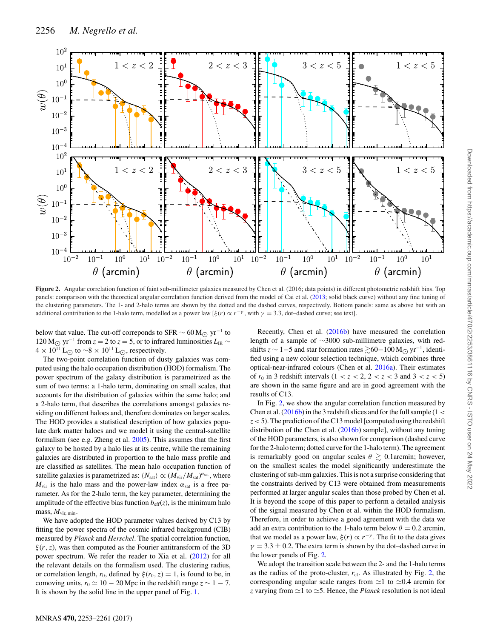

Figure 2. Angular correlation function of faint sub-millimeter galaxies measured by Chen et al. (2016; data points) in different photometric redshift bins. Top panels: comparison with the theoretical angular correlation function derived from the model of Cai et al. (2013; solid black curve) without any fine tuning of the clustering parameters. The 1- and 2-halo terms are shown by the dotted and the dashed curves, respectively. Bottom panels: same as above but with an additional contribution to the 1-halo term, modelled as a power law [ $\xi(r) \propto r^{-\gamma}$ , with  $\gamma = 3.3$ , dot–dashed curve; see text].

below that value. The cut-off correponds to SFR  $\sim 60 \,\text{M}_{\odot} \text{ yr}^{-1}$  to 120 M<sub>☉</sub> yr<sup>-1</sup> from  $z = 2$  to  $z = 5$ , or to infrared luminosities  $L_{IR}$  ~  $4 \times 10^{11}$  L<sub>⊙</sub> to ~8 × 10<sup>11</sup> L<sub>⊙</sub>, respectively.

The two-point correlation function of dusty galaxies was computed using the halo occupation distribution (HOD) formalism. The power spectrum of the galaxy distribution is parametrized as the sum of two terms: a 1-halo term, dominating on small scales, that accounts for the distribution of galaxies within the same halo; and a 2-halo term, that describes the correlations amongst galaxies residing on different haloes and, therefore dominates on larger scales. The HOD provides a statistical description of how galaxies populate dark matter haloes and we model it using the central-satellite formalism (see e.g. Zheng et al. 2005). This assumes that the first galaxy to be hosted by a halo lies at its centre, while the remaining galaxies are distributed in proportion to the halo mass profile and are classified as satellites. The mean halo occupation function of satellite galaxies is parametrized as:  $\langle N_{\rm sat} \rangle \propto (M_{\rm vir}/M_{\rm sat})^{\alpha_{\rm sat}}$ , where  $M_{\text{vir}}$  is the halo mass and the power-law index  $\alpha_{\text{sat}}$  is a free parameter. As for the 2-halo term, the key parameter, determining the amplitude of the effective bias function  $b_{\text{eff}}(z)$ , is the minimum halo mass, *M*vir, min.

We have adopted the HOD parameter values derived by C13 by fitting the power spectra of the cosmic infrared background (CIB) measured by *Planck* and *Herschel*. The spatial correlation function,  $\xi(r, z)$ , was then computed as the Fourier antitransform of the 3D power spectrum. We refer the reader to Xia et al. (2012) for all the relevant details on the formalism used. The clustering radius, or correlation length,  $r_0$ , defined by  $\xi(r_0, z) = 1$ , is found to be, in comoving units,  $r_0 \approx 10 - 20$  Mpc in the redshift range  $z \sim 1 - 7$ . It is shown by the solid line in the upper panel of Fig. 1.

Recently, Chen et al. (2016b) have measured the correlation length of a sample of ∼3000 sub-millimetre galaxies, with redshifts  $z \sim 1-5$  and star formation rates  $\gtrsim 60-100 \,\text{M}_{\bigodot} \,\text{yr}^{-1}$ , identified using a new colour selection technique, which combines three optical-near-infrared colours (Chen et al. 2016a). Their estimates of  $r_0$  in 3 redshift intervals (1 <  $z$  < 2, 2 <  $z$  < 3 and 3 <  $z$  < 5) are shown in the same figure and are in good agreement with the results of C13.

In Fig. 2, we show the angular correlation function measured by Chen et al.  $(2016b)$  in the 3 redshift slices and for the full sample (1 < *z*<5). The prediction of the C13 model [computed using the redshift distribution of the Chen et al. (2016b) sample], without any tuning of the HOD parameters, is also shown for comparison (dashed curve for the 2-halo term; dotted curve for the 1-halo term). The agreement is remarkably good on angular scales  $\theta \gtrsim 0.1$ arcmin; however, on the smallest scales the model significantly underestimate the clustering of sub-mm galaxies. This is not a surprise considering that the constraints derived by C13 were obtained from measurements performed at larger angular scales than those probed by Chen et al. It is beyond the scope of this paper to perform a detailed analysis of the signal measured by Chen et al. within the HOD formalism. Therefore, in order to achieve a good agreement with the data we add an extra contribution to the 1-halo term below  $\theta = 0.2$  arcmin, that we model as a power law,  $\xi(r) \propto r^{-\gamma}$ . The fit to the data gives  $\gamma = 3.3 \pm 0.2$ . The extra term is shown by the dot-dashed curve in the lower panels of Fig. 2.

We adopt the transition scale between the 2- and the 1-halo terms as the radius of the proto-cluster,  $r_{\rm cl}$ . As illustrated by Fig. 2, the corresponding angular scale ranges from  $\approx$ 1 to  $\approx$ 0.4 arcmin for *z* varying from  $\approx$  1 to  $\approx$  5. Hence, the *Planck* resolution is not ideal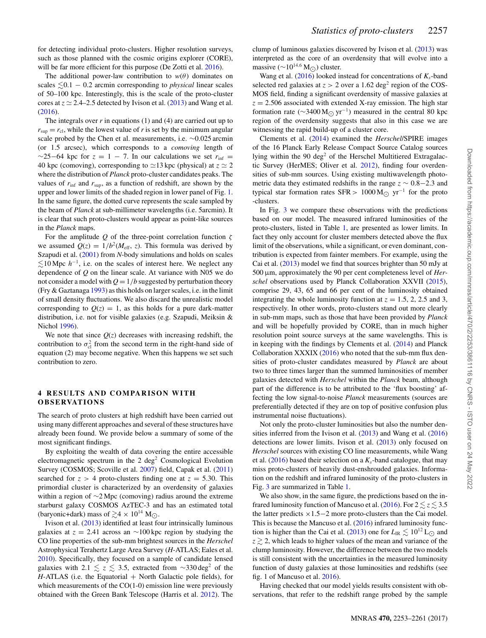for detecting individual proto-clusters. Higher resolution surveys, such as those planned with the cosmic origins explorer (CORE), will be far more efficient for this purpose (De Zotti et al. 2016).

The additional power-law contribution to  $w(\theta)$  dominates on scales  $\leq 0.1 - 0.2$  arcmin corresponding to *physical* linear scales of 50–100 kpc. Interestingly, this is the scale of the proto-cluster cores at  $z \approx 2.4-2.5$  detected by Ivison et al. (2013) and Wang et al. (2016).

The integrals over *r* in equations (1) and (4) are carried out up to  $r_{\text{sup}} = r_{\text{cl}}$ , while the lowest value of *r* is set by the minimum angular scale probed by the Chen et al. measurements, i.e. ∼0.025 arcmin (or 1.5 arcsec), which corresponds to a *comoving* length of  $\sim$ 25−64 kpc for  $z = 1 - 7$ . In our calculations we set  $r_{\text{inf}} =$ 40 kpc (comoving), corresponding to  $\simeq$  13 kpc (physical) at  $z \simeq 2$ where the distribution of *Planck* proto-cluster candidates peaks. The values of  $r_{\text{inf}}$  and  $r_{\text{sup}}$ , as a function of redshift, are shown by the upper and lower limits of the shaded region in lower panel of Fig. 1. In the same figure, the dotted curve represents the scale sampled by the beam of *Planck* at sub-millimeter wavelengths (i.e. 5arcmin). It is clear that such proto-clusters would appear as point-like sources in the *Planck* maps.

For the amplitude  $Q$  of the three-point correlation function  $\zeta$ we assumed  $Q(z) = 1/b^2(M<sub>eff</sub>, z)$ . This formula was derived by Szapudi et al. (2001) from *N*-body simulations and holds on scales  $≤ 10$  Mpc  $h^{-1}$ , i.e. on the scales of interest here. We neglect any dependence of *Q* on the linear scale. At variance with N05 we do not consider a model with  $Q = 1/b$  suggested by perturbation theory (Fry & Gaztanaga 1993) as this holds on larger scales, i.e. in the limit of small density fluctuations. We also discard the unrealistic model corresponding to  $Q(z) = 1$ , as this holds for a pure dark-matter distribution, i.e. not for visible galaxies (e.g. Szapudi, Meiksin & Nichol 1996).

We note that since  $Q(z)$  decreases with increasing redshift, the contribution to  $\sigma_{\rm cl}^2$  from the second term in the right-hand side of equation (2) may become negative. When this happens we set such contribution to zero.

#### **4 RESULTS AND COMPARISON WITH OB SE RVAT IO N S**

The search of proto clusters at high redshift have been carried out using many different approaches and several of these structures have already been found. We provide below a summary of some of the most significant findings.

By exploiting the wealth of data covering the entire accessible electromagnetic spectrum in the  $2 \text{ deg}^2$  Cosmological Evolution Survey (COSMOS; Scoville et al. 2007) field, Capak et al. (2011) searched for  $z > 4$  proto-clusters finding one at  $z = 5.30$ . This primordial cluster is characterized by an overdensity of galaxies within a region of ∼2 Mpc (comoving) radius around the extreme starburst galaxy COSMOS AzTEC-3 and has an estimated total (baryonic+dark) mass of  $\gtrsim 4 \times 10^{14}$  M<sub>O</sub>.

Ivison et al. (2013) identified at least four intrinsically luminous galaxies at  $z = 2.41$  across an ~100 kpc region by studying the CO line properties of the sub-mm brightest sources in the *Herschel* Astrophysical Terahertz Large Area Survey (*H*-ATLAS; Eales et al. 2010). Specifically, they focused on a sample of candidate lensed galaxies with 2.1  $\le z \le 3.5$ , extracted from ∼330 deg<sup>2</sup> of the *H*-ATLAS (i.e. the Equatorial + North Galactic pole fields), for which measurements of the CO(1-0) emission line were previously obtained with the Green Bank Telescope (Harris et al. 2012). The clump of luminous galaxies discovered by Ivison et al. (2013) was interpreted as the core of an overdensity that will evolve into a massive ( $\sim$ 10<sup>14.6</sup> M<sub>○</sub>) cluster.

Wang et al.  $(2016)$  looked instead for concentrations of  $K_s$ -band selected red galaxies at  $z > 2$  over a 1.62 deg<sup>2</sup> region of the COS-MOS field, finding a significant overdensity of massive galaxies at  $z = 2.506$  associated with extended X-ray emission. The high star formation rate ( $\sim$ 3400 M<sub> $\odot$ </sub> yr<sup>-1</sup>) measured in the central 80 kpc region of the overdensity suggests that also in this case we are witnessing the rapid build-up of a cluster core.

Clements et al. (2014) examined the *Herschel*/SPIRE images of the 16 Planck Early Release Compact Source Catalog sources lying within the 90 deg<sup>2</sup> of the Herschel Multitiered Extragalactic Survey (HerMES; Oliver et al. 2012), finding four overdensities of sub-mm sources. Using existing multiwavelength photometric data they estimated redshifts in the range *z* ∼ 0.8−2.3 and typical star formation rates SFR > 1000 M<sub> $\odot$ </sub> yr<sup>-1</sup> for the proto -clusters.

In Fig. 3 we compare these observations with the predictions based on our model. The measured infrared luminosities of the proto-clusters, listed in Table 1, are presented as lower limits. In fact they only account for cluster members detected above the flux limit of the observations, while a significant, or even dominant, contribution is expected from fainter members. For example, using the Cai et al. (2013) model we find that sources brighter than 50 mJy at 500 μm, approximately the 90 per cent completeness level of *Herschel* observations used by Planck Collaboration XXVII (2015), comprise 29, 43, 65 and 66 per cent of the luminosity obtained integrating the whole luminosity function at  $z = 1.5, 2, 2.5$  and 3, respectively. In other words, proto-clusters stand out more clearly in sub-mm maps, such as those that have been provided by *Planck* and will be hopefully provided by CORE, than in much higher resolution point source surveys at the same wavelengths. This is in keeping with the findings by Clements et al. (2014) and Planck Collaboration XXXIX (2016) who noted that the sub-mm flux densities of proto-cluster candidates measured by *Planck* are about two to three times larger than the summed luminosities of member galaxies detected with *Herschel* within the *Planck* beam, although part of the difference is to be attributed to the 'flux boosting' affecting the low signal-to-noise *Planck* measurements (sources are preferentially detected if they are on top of positive confusion plus instrumental noise fluctuations).

Not only the proto-cluster luminosities but also the number densities inferred from the Ivison et al. (2013) and Wang et al. (2016) detections are lower limits. Ivison et al. (2013) only focused on *Herschel* sources with existing CO line measurements, while Wang et al.  $(2016)$  based their selection on a  $K_s$ -band catalogue, that may miss proto-clusters of heavily dust-enshrouded galaxies. Information on the redshift and infrared luminosity of the proto-clusters in Fig. 3 are summarized in Table 1.

We also show, in the same figure, the predictions based on the infrared luminosity function of Mancuso et al.  $(2016)$ . For  $2 \le z \le 3.5$ the latter predicts ×1.5−2 more proto-clusters than the Cai model. This is because the Mancuso et al. (2016) infrared luminosity function is higher than the Cai et al. (2013) one for  $L_{\text{IR}} \lesssim 10^{12} \text{ L}_{\odot}$  and  $z \gtrsim 2$ , which leads to higher values of the mean and variance of the clump luminosity. However, the difference between the two models is still consistent with the uncertainties in the measured luminosity function of dusty galaxies at those luminosities and redshifts (see fig. 1 of Mancuso et al. 2016).

Having checked that our model yields results consistent with observations, that refer to the redshift range probed by the sample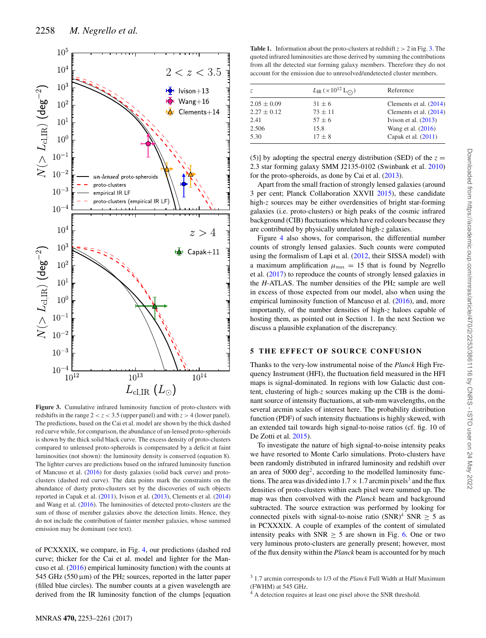

**Figure 3.** Cumulative infrared luminosity function of proto-clusters with redshifts in the range  $2 < z < 3.5$  (upper panel) and with  $z > 4$  (lower panel). The predictions, based on the Cai et al. model are shown by the thick dashed red curve while, for comparison, the abundance of un-lensed proto-spheroids is shown by the thick solid black curve. The excess density of proto-clusters compared to unlensed proto-spheroids is compensated by a deficit at faint luminosities (not shown): the luminosity density is conserved (equation 8). The lighter curves are predictions based on the infrared luminosity function of Mancuso et al. (2016) for dusty galaxies (solid back curve) and protoclusters (dashed red curve). The data points mark the constraints on the abundance of dusty proto-clusters set by the discoveries of such objects reported in Capak et al. (2011), Ivison et al. (2013), Clements et al. (2014) and Wang et al. (2016). The luminosities of detected proto-clusters are the sum of those of member galaxies above the detection limits. Hence, they do not include the contribution of fainter member galaxies, whose summed emission may be dominant (see text).

of PCXXXIX, we compare, in Fig. 4, our predictions (dashed red curve; thicker for the Cai et al. model and lighter for the Mancuso et al. (2016) empirical luminosity function) with the counts at 545 GHz (550 μm) of the PH*z* sources, reported in the latter paper (filled blue circles). The number counts at a given wavelength are derived from the IR luminosity function of the clumps [equation

**Table 1.** Information about the proto-clusters at redshift  $z > 2$  in Fig. 3. The quoted infrared luminosities are those derived by summing the contributions from all the detected star forming galaxy members. Therefore they do not account for the emission due to unresolved/undetected cluster members.

| Z.              | $L_{\rm IR}$ ( $\times 10^{12}$ L <sub>(2)</sub> ) | Reference              |
|-----------------|----------------------------------------------------|------------------------|
| $2.05 \pm 0.09$ | $31 \pm 6$                                         | Clements et al. (2014) |
| $2.27 \pm 0.12$ | $73 + 11$                                          | Clements et al. (2014) |
| 2.41            | $57 \pm 6$                                         | Ivison et al. $(2013)$ |
| 2.506           | 15.8                                               | Wang et al. (2016)     |
| 5.30            | $17 \pm 8$                                         | Capak et al. $(2011)$  |

(5)] by adopting the spectral energy distribution (SED) of the  $z =$ 2.3 star forming galaxy SMM J2135-0102 (Swinbank et al. 2010) for the proto-spheroids, as done by Cai et al. (2013).

Apart from the small fraction of strongly lensed galaxies (around 3 per cent; Planck Collaboration XXVII 2015), these candidate high-z sources may be either overdensities of bright star-forming galaxies (i.e. proto-clusters) or high peaks of the cosmic infrared background (CIB) fluctuations which have red colours because they are contributed by physically unrelated high-*z* galaxies.

Figure 4 also shows, for comparison, the differential number counts of strongly lensed galaxies. Such counts were computed using the formalism of Lapi et al. (2012, their SISSA model) with a maximum amplification  $\mu_{\text{max}} = 15$  that is found by Negrello et al. (2017) to reproduce the counts of strongly lensed galaxies in the *H*-ATLAS. The number densities of the PH*z* sample are well in excess of those expected from our model, also when using the empirical luminosity function of Mancuso et al. (2016), and, more importantly, of the number densities of high-*z* haloes capable of hosting them, as pointed out in Section 1. In the next Section we discuss a plausible explanation of the discrepancy.

#### **5 THE EFFECT OF SOURCE CONFUSION**

Thanks to the very-low instrumental noise of the *Planck* High Frequency Instrument (HFI), the fluctuation field measured in the HFI maps is signal-dominated. In regions with low Galactic dust content, clustering of high-*z* sources making up the CIB is the dominant source of intensity fluctuations, at sub-mm wavelengths, on the several arcmin scales of interest here. The probability distribution function (PDF) of such intensity fluctuations is highly skewed, with an extended tail towards high signal-to-noise ratios (cf. fig. 10 of De Zotti et al. 2015).

To investigate the nature of high signal-to-noise intensity peaks we have resorted to Monte Carlo simulations. Proto-clusters have been randomly distributed in infrared luminosity and redshift over an area of 5000 deg<sup>2</sup>, according to the modelled luminosity functions. The area was divided into  $1.7 \times 1.7$  arcmin pixels<sup>3</sup> and the flux densities of proto-clusters within each pixel were summed up. The map was then convolved with the *Planck* beam and background subtracted. The source extraction was performed by looking for connected pixels with signal-to-noise ratio  $(SNR)^4$  SNR  $> 5$  as in PCXXXIX. A couple of examples of the content of simulated intensity peaks with SNR  $\geq$  5 are shown in Fig. 6. One or two very luminous proto-clusters are generally present; however, most of the flux density within the *Planck* beam is accounted for by much

<sup>3</sup> 1.7 arcmin corresponds to 1/3 of the *Planck* Full Width at Half Maximum (FWHM) at 545 GHz.

<sup>4</sup> A detection requires at least one pixel above the SNR threshold.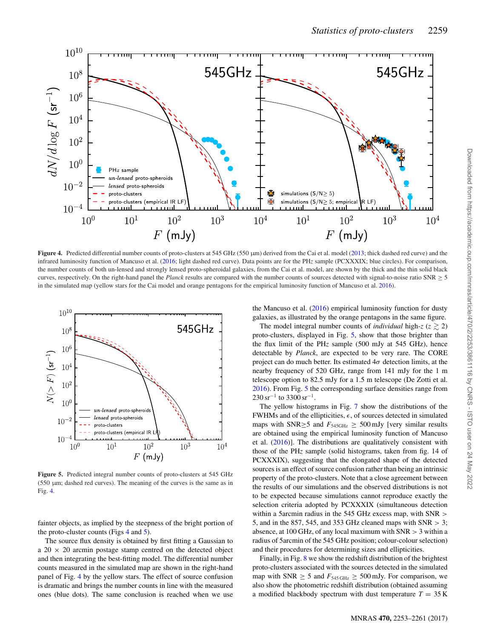

Figure 4. Predicted differential number counts of proto-clusters at 545 GHz (550  $\mu$ m) derived from the Cai et al. model (2013; thick dashed red curve) and the infrared luminosity function of Mancuso et al. (2016; light dashed red curve). Data points are for the PH*z* sample (PCXXXIX; blue circles). For comparison, the number counts of both un-lensed and strongly lensed proto-spheroidal galaxies, from the Cai et al. model, are shown by the thick and the thin solid black curves, respectively. On the right-hand panel the *Planck* results are compared with the number counts of sources detected with signal-to-noise ratio  $SNR \ge 5$ in the simulated map (yellow stars for the Cai model and orange pentagons for the empirical luminosity function of Mancuso et al. 2016).



**Figure 5.** Predicted integral number counts of proto-clusters at 545 GHz  $(550 \mu m)$ ; dashed red curves). The meaning of the curves is the same as in Fig. 4.

fainter objects, as implied by the steepness of the bright portion of the proto-cluster counts (Figs 4 and 5).

The source flux density is obtained by first fitting a Gaussian to a  $20 \times 20$  arcmin postage stamp centred on the detected object and then integrating the best-fitting model. The differential number counts measured in the simulated map are shown in the right-hand panel of Fig. 4 by the yellow stars. The effect of source confusion is dramatic and brings the number counts in line with the measured ones (blue dots). The same conclusion is reached when we use the Mancuso et al. (2016) empirical luminosity function for dusty galaxies, as illustrated by the orange pentagons in the same figure.

The model integral number counts of *individual* high- $z$  ( $z \ge 2$ ) proto-clusters, displayed in Fig. 5, show that those brighter than the flux limit of the PH*z* sample (500 mJy at 545 GHz), hence detectable by *Planck*, are expected to be very rare. The CORE project can do much better. Its estimated  $4\sigma$  detection limits, at the nearby frequency of 520 GHz, range from 141 mJy for the 1 m telescope option to 82.5 mJy for a 1.5 m telescope (De Zotti et al. 2016). From Fig. 5 the corresponding surface densities range from  $230 \,\mathrm{sr}^{-1}$  to 3300 sr<sup>-1</sup>.

The yellow histograms in Fig. 7 show the distributions of the FWHMs and of the ellipticities,  $\epsilon$ , of sources detected in simulated maps with SNR $\geq$ 5 and  $F_{545\text{GHz}} \geq 500 \text{ mJy}$  [very similar results are obtained using the empirical luminosity function of Mancuso et al. (2016)]. The distributions are qualitatively consistent with those of the PH*z* sample (solid histograms, taken from fig. 14 of PCXXXIX), suggesting that the elongated shape of the detected sources is an effect of source confusion rather than being an intrinsic property of the proto-clusters. Note that a close agreement between the results of our simulations and the observed distributions is not to be expected because simulations cannot reproduce exactly the selection criteria adopted by PCXXXIX (simultaneous detection within a 5arcmin radius in the 545 GHz excess map, with SNR > 5, and in the 857, 545, and 353 GHz cleaned maps with  $SNR > 3$ ; absence, at 100 GHz, of any local maximum with  $SNR > 3$  within a radius of 5arcmin of the 545 GHz position; colour-colour selection) and their procedures for determining sizes and ellipticities.

Finally, in Fig. 8 we show the redshift distribution of the brightest proto-clusters associated with the sources detected in the simulated map with SNR  $\geq 5$  and  $F_{545 \text{ GHz}} \geq 500 \text{ mJy}$ . For comparison, we also show the photometric redshift distribution (obtained assuming a modified blackbody spectrum with dust temperature  $T = 35$  K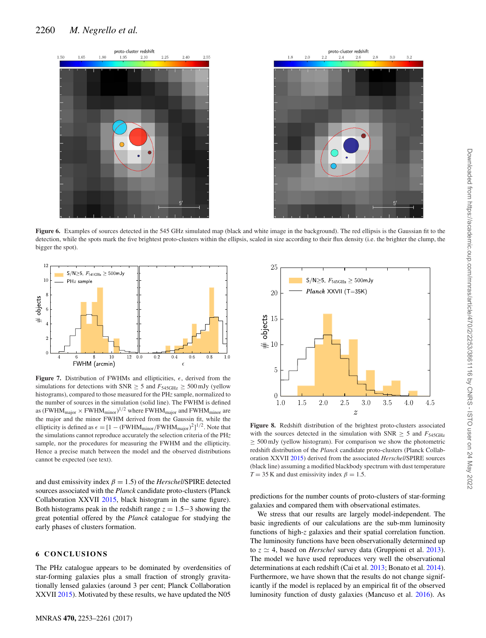



 $S/N \ge 5$ ,  $F_{\rm 545GHz} \ge 500$ mJy

 $Planck$  XXVII (T=35K)

Figure 6. Examples of sources detected in the 545 GHz simulated map (black and white image in the background). The red ellipsis is the Gaussian fit to the detection, while the spots mark the five brightest proto-clusters within the ellipsis, scaled in size according to their flux density (i.e. the brighter the clump, the bigger the spot).

25

20

 $\begin{array}{c}\n\text{# objects} \\
\hline\n\text{the right of the right,}\n\end{array}$ 

 $\overline{5}$ 

 $\sqrt{ }$  $1.0$ 



**Figure 7.** Distribution of FWHMs and ellipticities,  $\epsilon$ , derived from the simulations for detections with SNR  $\geq$  5 and  $F_{545\text{GHz}} \geq 500 \text{ mJy}$  (yellow histograms), compared to those measured for the PH*z* sample, normalized to the number of sources in the simulation (solid line). The FWHM is defined as (FWHM $_{\rm major}\times$  FWHM $_{\rm minor}$ )<sup>1/2</sup> where FWHM $_{\rm major}$  and FWHM $_{\rm minor}$  are the major and the minor FWHM derived from the Gaussin fit, while the ellipticity is defined as  $\epsilon = [1 - (FWHM_{minor}/FWHM_{major})^2]^{1/2}$ . Note that the simulations cannot reproduce accurately the selection criteria of the PH*z* sample, nor the procedures for measuring the FWHM and the ellipticity. Hence a precise match between the model and the observed distributions cannot be expected (see text).

and dust emissivity index  $\beta = 1.5$ ) of the *Herschel*/SPIRE detected sources associated with the *Planck* candidate proto-clusters (Planck Collaboration XXVII 2015, black histogram in the same figure). Both histograms peak in the redshift range *z* = 1.5−3 showing the great potential offered by the *Planck* catalogue for studying the early phases of clusters formation.

#### **6 CONCLUSIONS**

The PHz catalogue appears to be dominated by overdensities of star-forming galaxies plus a small fraction of strongly gravitationally lensed galaxies (around 3 per cent; Planck Collaboration XXVII 2015). Motivated by these results, we have updated the N05

3.5 4.0 **Figure 8.** Redshift distribution of the brightest proto-clusters associated with the sources detected in the simulation with  $SNR \geq 5$  and  $F_{545GHz}$  $\geq$  500 mJy (yellow histogram). For comparison we show the photometric redshift distribution of the *Planck* candidate proto-clusters (Planck Collaboration XXVII 2015) derived from the associated *Herschel*/SPIRE sources (black line) assuming a modified blackbody spectrum with dust temperature

4.5

predictions for the number counts of proto-clusters of star-forming galaxies and compared them with observational estimates.

 $T = 35$  K and dust emissivity index  $\beta = 1.5$ .

1.5

2.0

2.5

3.0

 $\overline{z}$ 

We stress that our results are largely model-independent. The basic ingredients of our calculations are the sub-mm luminosity functions of high-*z* galaxies and their spatial correlation function. The luminosity functions have been observationally determined up to  $z \approx 4$ , based on *Herschel* survey data (Gruppioni et al. 2013). The model we have used reproduces very well the observational determinations at each redshift (Cai et al. 2013; Bonato et al. 2014). Furthermore, we have shown that the results do not change significantly if the model is replaced by an empirical fit of the observed luminosity function of dusty galaxies (Mancuso et al. 2016). As